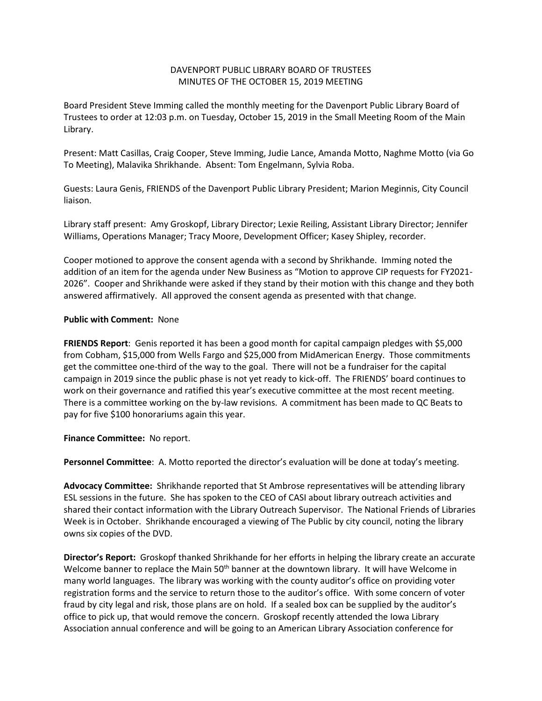## DAVENPORT PUBLIC LIBRARY BOARD OF TRUSTEES MINUTES OF THE OCTOBER 15, 2019 MEETING

Board President Steve Imming called the monthly meeting for the Davenport Public Library Board of Trustees to order at 12:03 p.m. on Tuesday, October 15, 2019 in the Small Meeting Room of the Main Library.

Present: Matt Casillas, Craig Cooper, Steve Imming, Judie Lance, Amanda Motto, Naghme Motto (via Go To Meeting), Malavika Shrikhande. Absent: Tom Engelmann, Sylvia Roba.

Guests: Laura Genis, FRIENDS of the Davenport Public Library President; Marion Meginnis, City Council liaison.

Library staff present: Amy Groskopf, Library Director; Lexie Reiling, Assistant Library Director; Jennifer Williams, Operations Manager; Tracy Moore, Development Officer; Kasey Shipley, recorder.

Cooper motioned to approve the consent agenda with a second by Shrikhande. Imming noted the addition of an item for the agenda under New Business as "Motion to approve CIP requests for FY2021- 2026". Cooper and Shrikhande were asked if they stand by their motion with this change and they both answered affirmatively. All approved the consent agenda as presented with that change.

## **Public with Comment:** None

**FRIENDS Report**: Genis reported it has been a good month for capital campaign pledges with \$5,000 from Cobham, \$15,000 from Wells Fargo and \$25,000 from MidAmerican Energy. Those commitments get the committee one-third of the way to the goal. There will not be a fundraiser for the capital campaign in 2019 since the public phase is not yet ready to kick-off. The FRIENDS' board continues to work on their governance and ratified this year's executive committee at the most recent meeting. There is a committee working on the by-law revisions. A commitment has been made to QC Beats to pay for five \$100 honorariums again this year.

**Finance Committee:** No report.

**Personnel Committee**: A. Motto reported the director's evaluation will be done at today's meeting.

**Advocacy Committee:** Shrikhande reported that St Ambrose representatives will be attending library ESL sessions in the future. She has spoken to the CEO of CASI about library outreach activities and shared their contact information with the Library Outreach Supervisor. The National Friends of Libraries Week is in October. Shrikhande encouraged a viewing of The Public by city council, noting the library owns six copies of the DVD.

**Director's Report:** Groskopf thanked Shrikhande for her efforts in helping the library create an accurate Welcome banner to replace the Main 50<sup>th</sup> banner at the downtown library. It will have Welcome in many world languages. The library was working with the county auditor's office on providing voter registration forms and the service to return those to the auditor's office. With some concern of voter fraud by city legal and risk, those plans are on hold. If a sealed box can be supplied by the auditor's office to pick up, that would remove the concern. Groskopf recently attended the Iowa Library Association annual conference and will be going to an American Library Association conference for